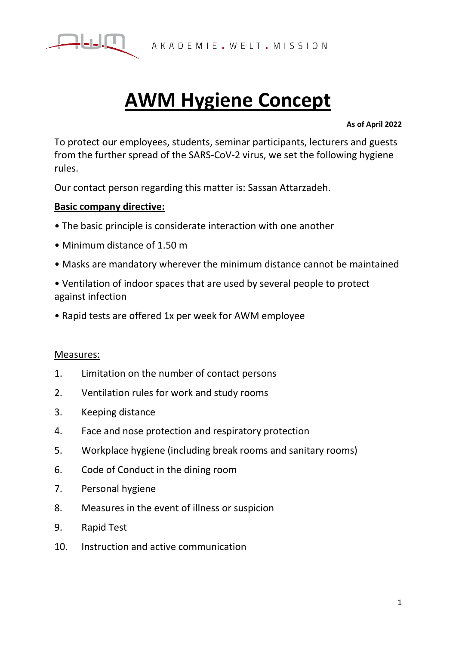

# **AWM Hygiene Concept**

#### **As of April 2022**

To protect our employees, students, seminar participants, lecturers and guests from the further spread of the SARS-CoV-2 virus, we set the following hygiene rules.

Our contact person regarding this matter is: Sassan Attarzadeh.

# **Basic company directive:**

- The basic principle is considerate interaction with one another
- Minimum distance of 1.50 m
- Masks are mandatory wherever the minimum distance cannot be maintained
- Ventilation of indoor spaces that are used by several people to protect against infection
- Rapid tests are offered 1x per week for AWM employee

## Measures:

- 1. Limitation on the number of contact persons
- 2. Ventilation rules for work and study rooms
- 3. Keeping distance
- 4. Face and nose protection and respiratory protection
- 5. Workplace hygiene (including break rooms and sanitary rooms)
- 6. Code of Conduct in the dining room
- 7. Personal hygiene
- 8. Measures in the event of illness or suspicion
- 9. Rapid Test
- 10. Instruction and active communication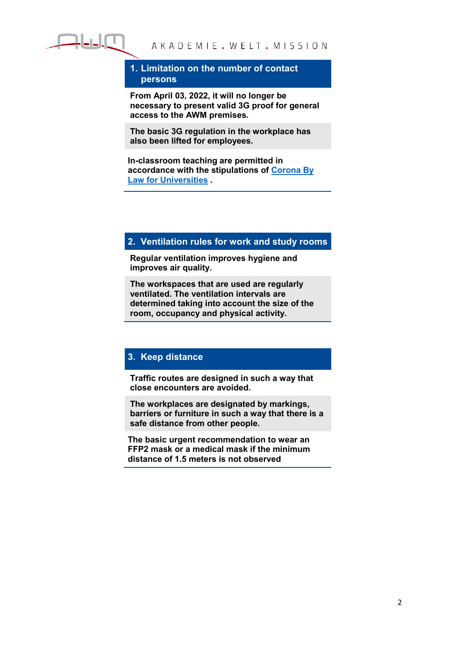

### **1. Limitation on the number of contact persons**

**From April 03, 2022, it will no longer be necessary to present valid 3G proof for general access to the AWM premises.**

**The basic 3G regulation in the workplace has also been lifted for employees.**

**In-classroom teaching are permitted in accordance with the stipulations of Corona By Law for Universities .** 

## **2. Ventilation rules for work and study rooms**

**Regular ventilation improves hygiene and improves air quality.**

**The workspaces that are used are regularly ventilated. The ventilation intervals are determined taking into account the size of the room, occupancy and physical activity.**

## **3. Keep distance**

**Traffic routes are designed in such a way that close encounters are avoided.**

**The workplaces are designated by markings, barriers or furniture in such a way that there is a safe distance from other people.**

**The basic urgent recommendation to wear an FFP2 mask or a medical mask if the minimum distance of 1.5 meters is not observed**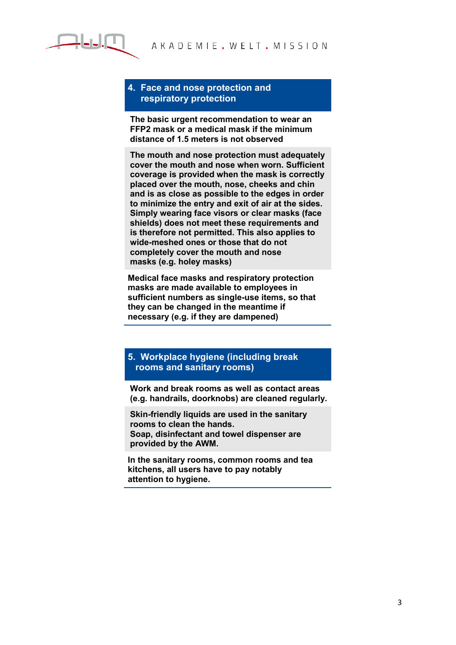

#### **4. Face and nose protection and respiratory protection**

**The basic urgent recommendation to wear an FFP2 mask or a medical mask if the minimum distance of 1.5 meters is not observed**

**The mouth and nose protection must adequately cover the mouth and nose when worn. Sufficient coverage is provided when the mask is correctly placed over the mouth, nose, cheeks and chin and is as close as possible to the edges in order to minimize the entry and exit of air at the sides. Simply wearing face visors or clear masks (face shields) does not meet these requirements and is therefore not permitted. This also applies to wide-meshed ones or those that do not completely cover the mouth and nose masks (e.g. holey masks)**

**Medical face masks and respiratory protection masks are made available to employees in sufficient numbers as single-use items, so that they can be changed in the meantime if necessary (e.g. if they are dampened)**

#### **5. Workplace hygiene (including break rooms and sanitary rooms)**

**Work and break rooms as well as contact areas (e.g. handrails, doorknobs) are cleaned regularly.**

**Skin-friendly liquids are used in the sanitary rooms to clean the hands. Soap, disinfectant and towel dispenser are provided by the AWM.**

**In the sanitary rooms, common rooms and tea kitchens, all users have to pay notably attention to hygiene.**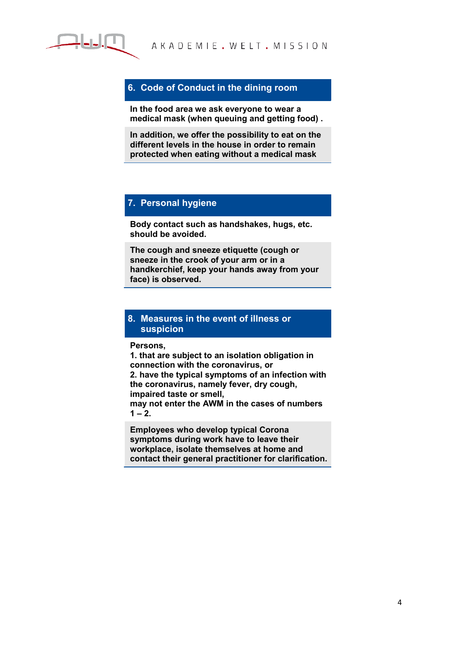

## **6. Code of Conduct in the dining room**

**In the food area we ask everyone to wear a medical mask (when queuing and getting food) .**

**In addition, we offer the possibility to eat on the different levels in the house in order to remain protected when eating without a medical mask**

## **7. Personal hygiene**

**Body contact such as handshakes, hugs, etc. should be avoided.**

**The cough and sneeze etiquette (cough or sneeze in the crook of your arm or in a handkerchief, keep your hands away from your face) is observed.**

### **8. Measures in the event of illness or suspicion**

**Persons,** 

**1. that are subject to an isolation obligation in connection with the coronavirus, or 2. have the typical symptoms of an infection with the coronavirus, namely fever, dry cough, impaired taste or smell, may not enter the AWM in the cases of numbers** 

 $1 - 2.$ 

**Employees who develop typical Corona symptoms during work have to leave their workplace, isolate themselves at home and contact their general practitioner for clarification.**